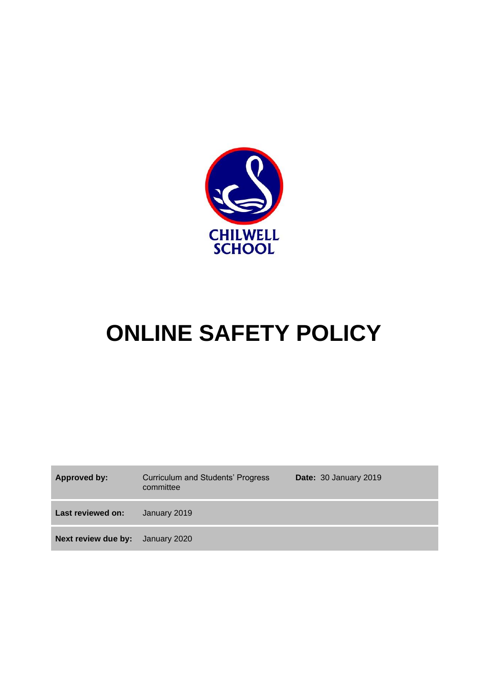

# **ONLINE SAFETY POLICY**

| Approved by:                            | <b>Curriculum and Students' Progress</b><br>committee | Date: 30 January 2019 |
|-----------------------------------------|-------------------------------------------------------|-----------------------|
| Last reviewed on:                       | January 2019                                          |                       |
| <b>Next review due by:</b> January 2020 |                                                       |                       |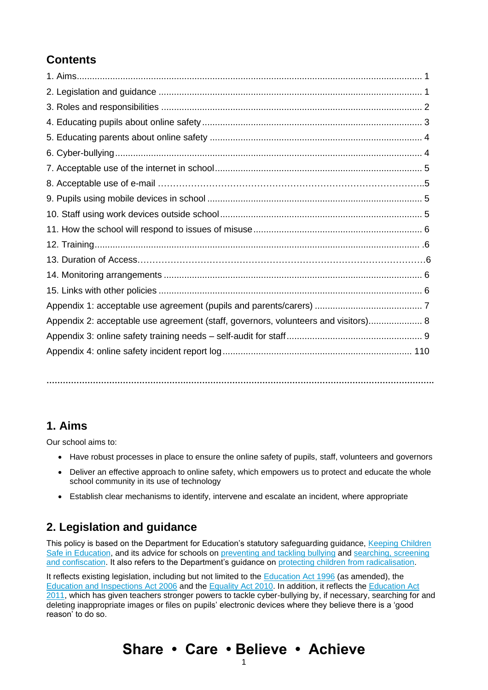# **Contents**

| Appendix 2: acceptable use agreement (staff, governors, volunteers and visitors) 8 |  |
|------------------------------------------------------------------------------------|--|
|                                                                                    |  |
|                                                                                    |  |
|                                                                                    |  |

**…………………………………………………………………………………………………………………………….**

### **1. Aims**

Our school aims to:

- Have robust processes in place to ensure the online safety of pupils, staff, volunteers and governors
- Deliver an effective approach to online safety, which empowers us to protect and educate the whole school community in its use of technology
- Establish clear mechanisms to identify, intervene and escalate an incident, where appropriate

## **2. Legislation and guidance**

This policy is based on the Department for Education's statutory safeguarding guidance, Keeping Children [Safe in Education,](https://www.gov.uk/government/publications/keeping-children-safe-in-education--2) and its advice for schools on [preventing and tackling bullying](https://www.gov.uk/government/publications/preventing-and-tackling-bullying) and searching, screening [and confiscation.](https://www.gov.uk/government/publications/searching-screening-and-confiscation) It also refers to the Department's guidance on [protecting children](https://www.gov.uk/government/publications/protecting-children-from-radicalisation-the-prevent-duty) from radicalisation.

It reflects existing legislation, including but not limited to the [Education Act 1996](https://www.legislation.gov.uk/ukpga/1996/56/contents) (as amended), the [Education and Inspections Act 2006](https://www.legislation.gov.uk/ukpga/2006/40/contents) and the [Equality Act 2010.](https://www.legislation.gov.uk/ukpga/2010/15/contents) In addition, it reflects the [Education Act](http://www.legislation.gov.uk/ukpga/2011/21/contents/enacted)  [2011,](http://www.legislation.gov.uk/ukpga/2011/21/contents/enacted) which has given teachers stronger powers to tackle cyber-bullying by, if necessary, searching for and deleting inappropriate images or files on pupils' electronic devices where they believe there is a 'good reason' to do so.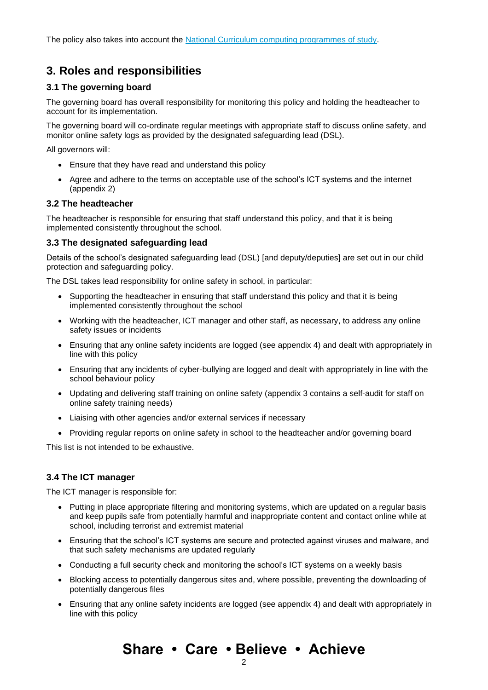The policy also takes into account the [National Curriculum computing programmes of study.](https://www.gov.uk/government/publications/national-curriculum-in-england-computing-programmes-of-study)

### **3. Roles and responsibilities**

#### **3.1 The governing board**

The governing board has overall responsibility for monitoring this policy and holding the headteacher to account for its implementation.

The governing board will co-ordinate regular meetings with appropriate staff to discuss online safety, and monitor online safety logs as provided by the designated safeguarding lead (DSL).

All governors will:

- Ensure that they have read and understand this policy
- Agree and adhere to the terms on acceptable use of the school's ICT systems and the internet (appendix 2)

#### **3.2 The headteacher**

The headteacher is responsible for ensuring that staff understand this policy, and that it is being implemented consistently throughout the school.

#### **3.3 The designated safeguarding lead**

Details of the school's designated safeguarding lead (DSL) [and deputy/deputies] are set out in our child protection and safeguarding policy.

The DSL takes lead responsibility for online safety in school, in particular:

- Supporting the headteacher in ensuring that staff understand this policy and that it is being implemented consistently throughout the school
- Working with the headteacher, ICT manager and other staff, as necessary, to address any online safety issues or incidents
- Ensuring that any online safety incidents are logged (see appendix 4) and dealt with appropriately in line with this policy
- Ensuring that any incidents of cyber-bullying are logged and dealt with appropriately in line with the school behaviour policy
- Updating and delivering staff training on online safety (appendix 3 contains a self-audit for staff on online safety training needs)
- Liaising with other agencies and/or external services if necessary
- Providing regular reports on online safety in school to the headteacher and/or governing board

This list is not intended to be exhaustive.

#### **3.4 The ICT manager**

The ICT manager is responsible for:

- Putting in place appropriate filtering and monitoring systems, which are updated on a regular basis and keep pupils safe from potentially harmful and inappropriate content and contact online while at school, including terrorist and extremist material
- Ensuring that the school's ICT systems are secure and protected against viruses and malware, and that such safety mechanisms are updated regularly
- Conducting a full security check and monitoring the school's ICT systems on a weekly basis
- Blocking access to potentially dangerous sites and, where possible, preventing the downloading of potentially dangerous files
- Ensuring that any online safety incidents are logged (see appendix 4) and dealt with appropriately in line with this policy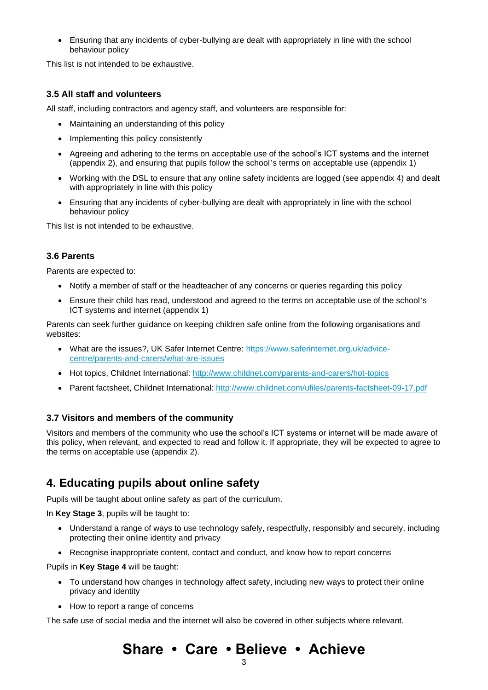• Ensuring that any incidents of cyber-bullying are dealt with appropriately in line with the school behaviour policy

This list is not intended to be exhaustive.

#### **3.5 All staff and volunteers**

All staff, including contractors and agency staff, and volunteers are responsible for:

- Maintaining an understanding of this policy
- Implementing this policy consistently
- Agreeing and adhering to the terms on acceptable use of the school's ICT systems and the internet (appendix 2), and ensuring that pupils follow the school's terms on acceptable use (appendix 1)
- Working with the DSL to ensure that any online safety incidents are logged (see appendix 4) and dealt with appropriately in line with this policy
- Ensuring that any incidents of cyber-bullying are dealt with appropriately in line with the school behaviour policy

This list is not intended to be exhaustive.

#### **3.6 Parents**

Parents are expected to:

- Notify a member of staff or the headteacher of any concerns or queries regarding this policy
- Ensure their child has read, understood and agreed to the terms on acceptable use of the school's ICT systems and internet (appendix 1)

Parents can seek further guidance on keeping children safe online from the following organisations and websites:

- What are the issues?, UK Safer Internet Centre: [https://www.saferinternet.org.uk/advice](https://www.saferinternet.org.uk/advice-centre/parents-and-carers/what-are-issues)[centre/parents-and-carers/what-are-issues](https://www.saferinternet.org.uk/advice-centre/parents-and-carers/what-are-issues)
- Hot topics, Childnet International:<http://www.childnet.com/parents-and-carers/hot-topics>
- Parent factsheet, Childnet International:<http://www.childnet.com/ufiles/parents-factsheet-09-17.pdf>

#### **3.7 Visitors and members of the community**

Visitors and members of the community who use the school's ICT systems or internet will be made aware of this policy, when relevant, and expected to read and follow it. If appropriate, they will be expected to agree to the terms on acceptable use (appendix 2).

### **4. Educating pupils about online safety**

Pupils will be taught about online safety as part of the curriculum.

In **Key Stage 3**, pupils will be taught to:

- Understand a range of ways to use technology safely, respectfully, responsibly and securely, including protecting their online identity and privacy
- Recognise inappropriate content, contact and conduct, and know how to report concerns

Pupils in **Key Stage 4** will be taught:

- To understand how changes in technology affect safety, including new ways to protect their online privacy and identity
- How to report a range of concerns

The safe use of social media and the internet will also be covered in other subjects where relevant.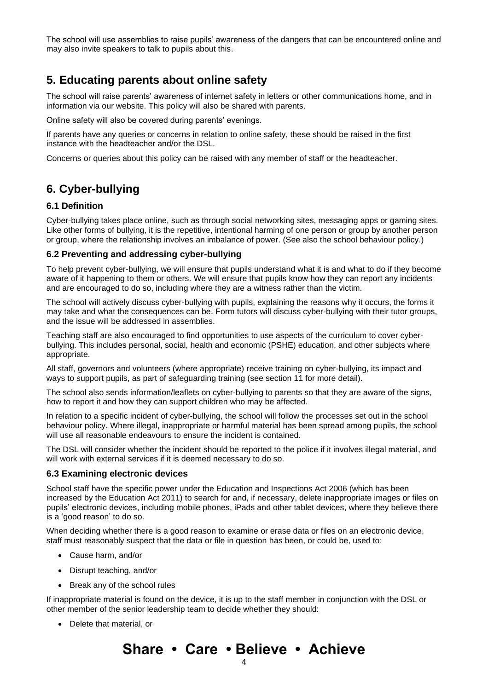The school will use assemblies to raise pupils' awareness of the dangers that can be encountered online and may also invite speakers to talk to pupils about this.

### **5. Educating parents about online safety**

The school will raise parents' awareness of internet safety in letters or other communications home, and in information via our website. This policy will also be shared with parents.

Online safety will also be covered during parents' evenings.

If parents have any queries or concerns in relation to online safety, these should be raised in the first instance with the headteacher and/or the DSL.

Concerns or queries about this policy can be raised with any member of staff or the headteacher.

# **6. Cyber-bullying**

#### **6.1 Definition**

Cyber-bullying takes place online, such as through social networking sites, messaging apps or gaming sites. Like other forms of bullying, it is the repetitive, intentional harming of one person or group by another person or group, where the relationship involves an imbalance of power. (See also the school behaviour policy.)

#### **6.2 Preventing and addressing cyber-bullying**

To help prevent cyber-bullying, we will ensure that pupils understand what it is and what to do if they become aware of it happening to them or others. We will ensure that pupils know how they can report any incidents and are encouraged to do so, including where they are a witness rather than the victim.

The school will actively discuss cyber-bullying with pupils, explaining the reasons why it occurs, the forms it may take and what the consequences can be. Form tutors will discuss cyber-bullying with their tutor groups, and the issue will be addressed in assemblies.

Teaching staff are also encouraged to find opportunities to use aspects of the curriculum to cover cyberbullying. This includes personal, social, health and economic (PSHE) education, and other subjects where appropriate.

All staff, governors and volunteers (where appropriate) receive training on cyber-bullying, its impact and ways to support pupils, as part of safeguarding training (see section 11 for more detail).

The school also sends information/leaflets on cyber-bullying to parents so that they are aware of the signs, how to report it and how they can support children who may be affected.

In relation to a specific incident of cyber-bullying, the school will follow the processes set out in the school behaviour policy. Where illegal, inappropriate or harmful material has been spread among pupils, the school will use all reasonable endeavours to ensure the incident is contained.

The DSL will consider whether the incident should be reported to the police if it involves illegal material, and will work with external services if it is deemed necessary to do so.

#### **6.3 Examining electronic devices**

School staff have the specific power under the Education and Inspections Act 2006 (which has been increased by the Education Act 2011) to search for and, if necessary, delete inappropriate images or files on pupils' electronic devices, including mobile phones, iPads and other tablet devices, where they believe there is a 'good reason' to do so.

When deciding whether there is a good reason to examine or erase data or files on an electronic device, staff must reasonably suspect that the data or file in question has been, or could be, used to:

- Cause harm, and/or
- Disrupt teaching, and/or
- Break any of the school rules

If inappropriate material is found on the device, it is up to the staff member in conjunction with the DSL or other member of the senior leadership team to decide whether they should:

• Delete that material, or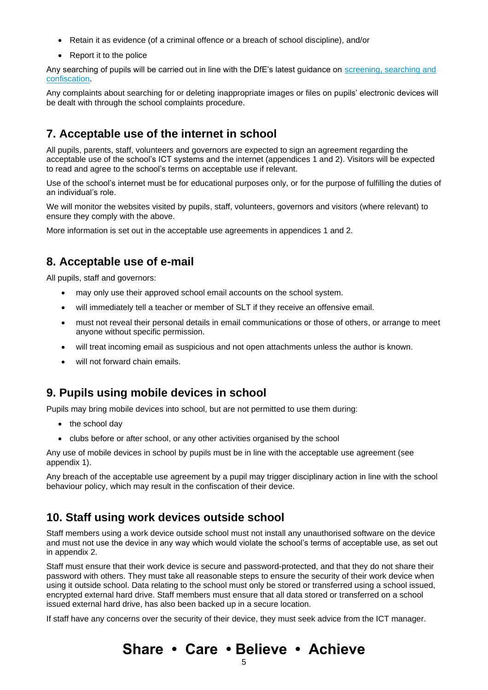- Retain it as evidence (of a criminal offence or a breach of school discipline), and/or
- Report it to the police

Any searching of pupils will be carried out in line with the DfE's latest guidance on [screening, searching and](https://www.gov.uk/government/publications/searching-screening-and-confiscation)  [confiscation.](https://www.gov.uk/government/publications/searching-screening-and-confiscation)

Any complaints about searching for or deleting inappropriate images or files on pupils' electronic devices will be dealt with through the school complaints procedure.

### **7. Acceptable use of the internet in school**

All pupils, parents, staff, volunteers and governors are expected to sign an agreement regarding the acceptable use of the school's ICT systems and the internet (appendices 1 and 2). Visitors will be expected to read and agree to the school's terms on acceptable use if relevant.

Use of the school's internet must be for educational purposes only, or for the purpose of fulfilling the duties of an individual's role.

We will monitor the websites visited by pupils, staff, volunteers, governors and visitors (where relevant) to ensure they comply with the above.

More information is set out in the acceptable use agreements in appendices 1 and 2.

### **8. Acceptable use of e-mail**

All pupils, staff and governors:

- may only use their approved school email accounts on the school system.
- will immediately tell a teacher or member of SLT if they receive an offensive email.
- must not reveal their personal details in email communications or those of others, or arrange to meet anyone without specific permission.
- will treat incoming email as suspicious and not open attachments unless the author is known.
- will not forward chain emails.

### **9. Pupils using mobile devices in school**

Pupils may bring mobile devices into school, but are not permitted to use them during:

- the school day
- clubs before or after school, or any other activities organised by the school

Any use of mobile devices in school by pupils must be in line with the acceptable use agreement (see appendix 1).

Any breach of the acceptable use agreement by a pupil may trigger disciplinary action in line with the school behaviour policy, which may result in the confiscation of their device.

### **10. Staff using work devices outside school**

Staff members using a work device outside school must not install any unauthorised software on the device and must not use the device in any way which would violate the school's terms of acceptable use, as set out in appendix 2.

Staff must ensure that their work device is secure and password-protected, and that they do not share their password with others. They must take all reasonable steps to ensure the security of their work device when using it outside school. Data relating to the school must only be stored or transferred using a school issued, encrypted external hard drive. Staff members must ensure that all data stored or transferred on a school issued external hard drive, has also been backed up in a secure location.

If staff have any concerns over the security of their device, they must seek advice from the ICT manager.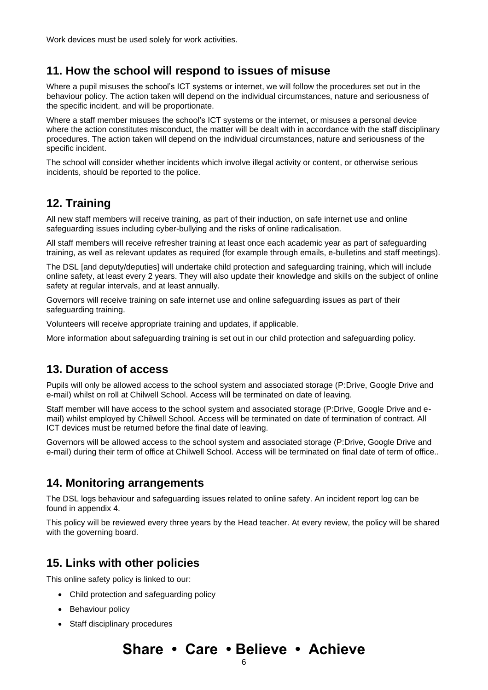### **11. How the school will respond to issues of misuse**

Where a pupil misuses the school's ICT systems or internet, we will follow the procedures set out in the behaviour policy. The action taken will depend on the individual circumstances, nature and seriousness of the specific incident, and will be proportionate.

Where a staff member misuses the school's ICT systems or the internet, or misuses a personal device where the action constitutes misconduct, the matter will be dealt with in accordance with the staff disciplinary procedures. The action taken will depend on the individual circumstances, nature and seriousness of the specific incident.

The school will consider whether incidents which involve illegal activity or content, or otherwise serious incidents, should be reported to the police.

### **12. Training**

All new staff members will receive training, as part of their induction, on safe internet use and online safeguarding issues including cyber-bullying and the risks of online radicalisation.

All staff members will receive refresher training at least once each academic year as part of safeguarding training, as well as relevant updates as required (for example through emails, e-bulletins and staff meetings).

The DSL [and deputy/deputies] will undertake child protection and safeguarding training, which will include online safety, at least every 2 years. They will also update their knowledge and skills on the subject of online safety at regular intervals, and at least annually.

Governors will receive training on safe internet use and online safeguarding issues as part of their safeguarding training.

Volunteers will receive appropriate training and updates, if applicable.

More information about safeguarding training is set out in our child protection and safeguarding policy.

### **13. Duration of access**

Pupils will only be allowed access to the school system and associated storage (P:Drive, Google Drive and e-mail) whilst on roll at Chilwell School. Access will be terminated on date of leaving.

Staff member will have access to the school system and associated storage (P:Drive, Google Drive and email) whilst employed by Chilwell School. Access will be terminated on date of termination of contract. All ICT devices must be returned before the final date of leaving.

Governors will be allowed access to the school system and associated storage (P:Drive, Google Drive and e-mail) during their term of office at Chilwell School. Access will be terminated on final date of term of office..

### **14. Monitoring arrangements**

The DSL logs behaviour and safeguarding issues related to online safety. An incident report log can be found in appendix 4.

This policy will be reviewed every three years by the Head teacher. At every review, the policy will be shared with the governing board.

### **15. Links with other policies**

This online safety policy is linked to our:

- Child protection and safeguarding policy
- Behaviour policy
- Staff disciplinary procedures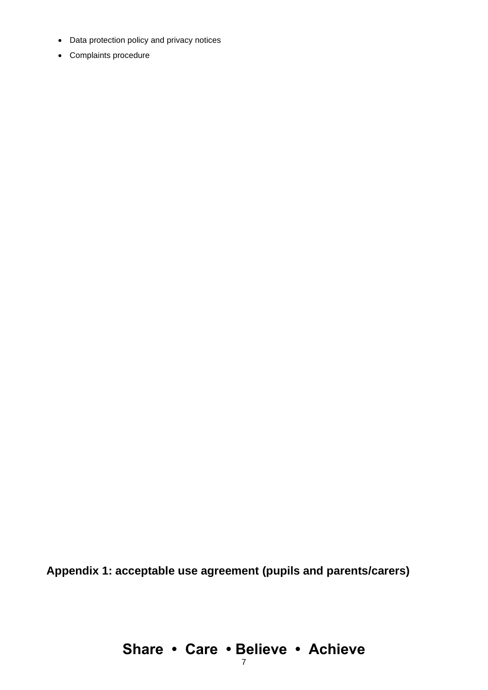- Data protection policy and privacy notices
- Complaints procedure

**Appendix 1: acceptable use agreement (pupils and parents/carers)**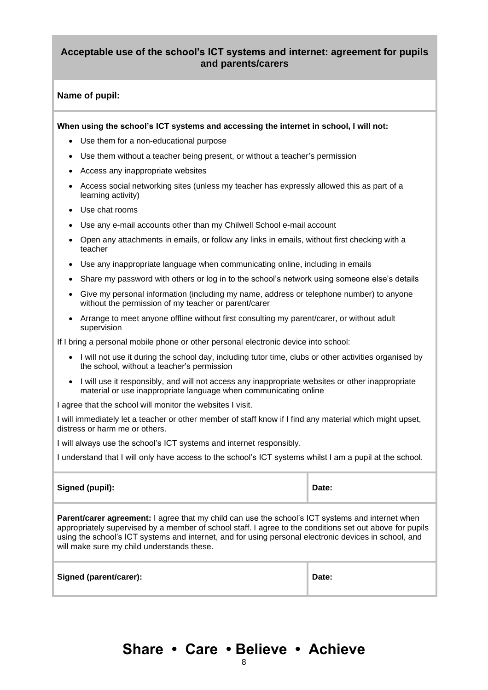#### **Acceptable use of the school's ICT systems and internet: agreement for pupils and parents/carers**

#### **Name of pupil:**

**When using the school's ICT systems and accessing the internet in school, I will not:** 

- Use them for a non-educational purpose
- Use them without a teacher being present, or without a teacher's permission
- Access any inappropriate websites
- Access social networking sites (unless my teacher has expressly allowed this as part of a learning activity)
- Use chat rooms
- Use any e-mail accounts other than my Chilwell School e-mail account
- Open any attachments in emails, or follow any links in emails, without first checking with a teacher
- Use any inappropriate language when communicating online, including in emails
- Share my password with others or log in to the school's network using someone else's details
- Give my personal information (including my name, address or telephone number) to anyone without the permission of my teacher or parent/carer
- Arrange to meet anyone offline without first consulting my parent/carer, or without adult supervision

If I bring a personal mobile phone or other personal electronic device into school:

- I will not use it during the school day, including tutor time, clubs or other activities organised by the school, without a teacher's permission
- I will use it responsibly, and will not access any inappropriate websites or other inappropriate material or use inappropriate language when communicating online

I agree that the school will monitor the websites I visit.

I will immediately let a teacher or other member of staff know if I find any material which might upset, distress or harm me or others.

I will always use the school's ICT systems and internet responsibly.

I understand that I will only have access to the school's ICT systems whilst I am a pupil at the school.

| Signed (pupil):                                                                                                                                                                                                                                                                                                                                                     | Date: |  |  |  |
|---------------------------------------------------------------------------------------------------------------------------------------------------------------------------------------------------------------------------------------------------------------------------------------------------------------------------------------------------------------------|-------|--|--|--|
| Parent/carer agreement: I agree that my child can use the school's ICT systems and internet when<br>appropriately supervised by a member of school staff. I agree to the conditions set out above for pupils<br>using the school's ICT systems and internet, and for using personal electronic devices in school, and<br>will make sure my child understands these. |       |  |  |  |
| Signed (parent/carer):                                                                                                                                                                                                                                                                                                                                              | Date: |  |  |  |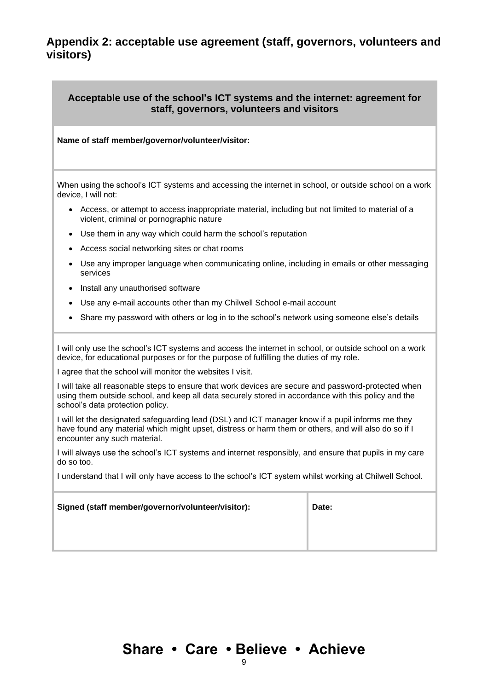### **Appendix 2: acceptable use agreement (staff, governors, volunteers and visitors)**

#### **Acceptable use of the school's ICT systems and the internet: agreement for staff, governors, volunteers and visitors**

#### **Name of staff member/governor/volunteer/visitor:**

When using the school's ICT systems and accessing the internet in school, or outside school on a work device, I will not:

- Access, or attempt to access inappropriate material, including but not limited to material of a violent, criminal or pornographic nature
- Use them in any way which could harm the school's reputation
- Access social networking sites or chat rooms
- Use any improper language when communicating online, including in emails or other messaging services
- Install any unauthorised software
- Use any e-mail accounts other than my Chilwell School e-mail account
- Share my password with others or log in to the school's network using someone else's details

I will only use the school's ICT systems and access the internet in school, or outside school on a work device, for educational purposes or for the purpose of fulfilling the duties of my role.

I agree that the school will monitor the websites I visit.

I will take all reasonable steps to ensure that work devices are secure and password-protected when using them outside school, and keep all data securely stored in accordance with this policy and the school's data protection policy.

I will let the designated safeguarding lead (DSL) and ICT manager know if a pupil informs me they have found any material which might upset, distress or harm them or others, and will also do so if I encounter any such material.

I will always use the school's ICT systems and internet responsibly, and ensure that pupils in my care do so too.

I understand that I will only have access to the school's ICT system whilst working at Chilwell School.

| Signed (staff member/governor/volunteer/visitor): | Date: |
|---------------------------------------------------|-------|
|                                                   |       |
|                                                   |       |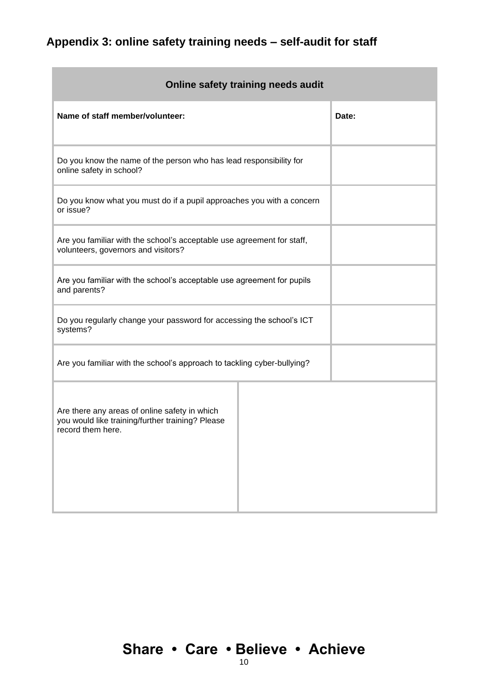# **Appendix 3: online safety training needs – self-audit for staff**

| Online safety training needs audit                                                                                     |       |  |  |  |  |
|------------------------------------------------------------------------------------------------------------------------|-------|--|--|--|--|
| Name of staff member/volunteer:                                                                                        | Date: |  |  |  |  |
| Do you know the name of the person who has lead responsibility for<br>online safety in school?                         |       |  |  |  |  |
| Do you know what you must do if a pupil approaches you with a concern<br>or issue?                                     |       |  |  |  |  |
| Are you familiar with the school's acceptable use agreement for staff,<br>volunteers, governors and visitors?          |       |  |  |  |  |
| Are you familiar with the school's acceptable use agreement for pupils<br>and parents?                                 |       |  |  |  |  |
| Do you regularly change your password for accessing the school's ICT<br>systems?                                       |       |  |  |  |  |
| Are you familiar with the school's approach to tackling cyber-bullying?                                                |       |  |  |  |  |
| Are there any areas of online safety in which<br>you would like training/further training? Please<br>record them here. |       |  |  |  |  |